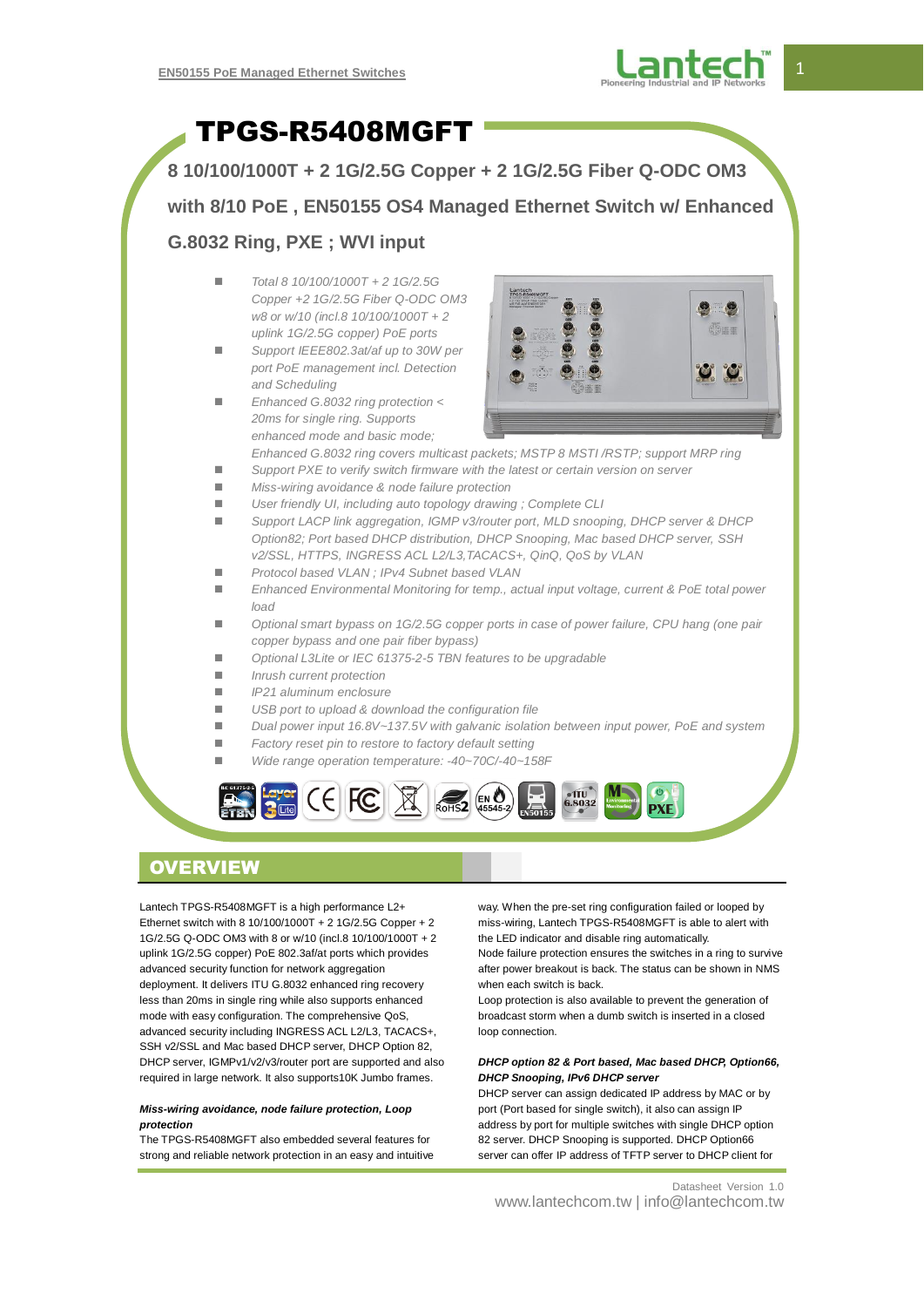

# TPGS-R5408MGFT

**8 10/100/1000T + 2 1G/2.5G Copper + 2 1G/2.5G Fiber Q-ODC OM3 with 8/10 PoE , EN50155 OS4 Managed Ethernet Switch w/ Enhanced**

### **G.8032 Ring, PXE ; WVI input**

- *Total 8 10/100/1000T + 2 1G/2.5G Copper +2 1G/2.5G Fiber Q-ODC OM3 w8 or w/10 (incl.8 10/100/1000T + 2 uplink 1G/2.5G copper) PoE ports*
- *Support IEEE802.3at/af up to 30W per port PoE management incl. Detection and Scheduling*
- *Enhanced G.8032 ring protection < 20ms for single ring. Supports enhanced mode and basic mode;*



*Enhanced G.8032 ring covers multicast packets; MSTP 8 MSTI /RSTP; support MRP ring*

- Support PXE to verify switch firmware with the latest or certain version on server
- *Miss-wiring avoidance & node failure protection*
- *User friendly UI, including auto topology drawing ; Complete CLI*
- Support LACP link aggregation, IGMP v3/router port, MLD snooping, DHCP server & DHCP *Option82; Port based DHCP distribution, DHCP Snooping, Mac based DHCP server, SSH v2/SSL, HTTPS, INGRESS ACL L2/L3,TACACS+, QinQ, QoS by VLAN*
- *Protocol based VLAN ; IPv4 Subnet based VLAN*
- *Enhanced Environmental Monitoring for temp., actual input voltage, current & PoE total power load*
- *Optional smart bypass on 1G/2.5G copper ports in case of power failure, CPU hang (one pair copper bypass and one pair fiber bypass)*
- *Optional L3Lite or IEC 61375-2-5 TBN features to be upgradable*
- *Inrush current protection*
- *IP21 aluminum enclosure*
- *USB port to upload & download the configuration file*
- *Dual power input 16.8V~137.5V with galvanic isolation between input power, PoE and system*
- *Factory reset pin to restore to factory default setting*
- *Wide range operation temperature: -40~70C/-40~158F*



# **OVERVIEW**

Ì

Lantech TPGS-R5408MGFT is a high performance L2+ Ethernet switch with 8 10/100/1000T + 2 1G/2.5G Copper + 2 1G/2.5G Q-ODC OM3 with 8 or w/10 (incl.8 10/100/1000T + 2 uplink 1G/2.5G copper) PoE 802.3af/at ports which provides advanced security function for network aggregation deployment. It delivers ITU G.8032 enhanced ring recovery less than 20ms in single ring while also supports enhanced mode with easy configuration. The comprehensive QoS, advanced security including INGRESS ACL L2/L3, TACACS+, SSH v2/SSL and Mac based DHCP server, DHCP Option 82, DHCP server, IGMPv1/v2/v3/router port are supported and also required in large network. It also supports10K Jumbo frames.

#### *Miss-wiring avoidance, node failure protection, Loop protection*

The TPGS-R5408MGFT also embedded several features for strong and reliable network protection in an easy and intuitive way. When the pre-set ring configuration failed or looped by miss-wiring, Lantech TPGS-R5408MGFT is able to alert with the LED indicator and disable ring automatically.

Node failure protection ensures the switches in a ring to survive after power breakout is back. The status can be shown in NMS when each switch is back.

Loop protection is also available to prevent the generation of broadcast storm when a dumb switch is inserted in a closed loop connection.

#### *DHCP option 82 & Port based, Mac based DHCP, Option66, DHCP Snooping, IPv6 DHCP server*

DHCP server can assign dedicated IP address by MAC or by port (Port based for single switch), it also can assign IP address by port for multiple switches with single DHCP option 82 server. DHCP Snooping is supported. DHCP Option66 server can offer IP address of TFTP server to DHCP client for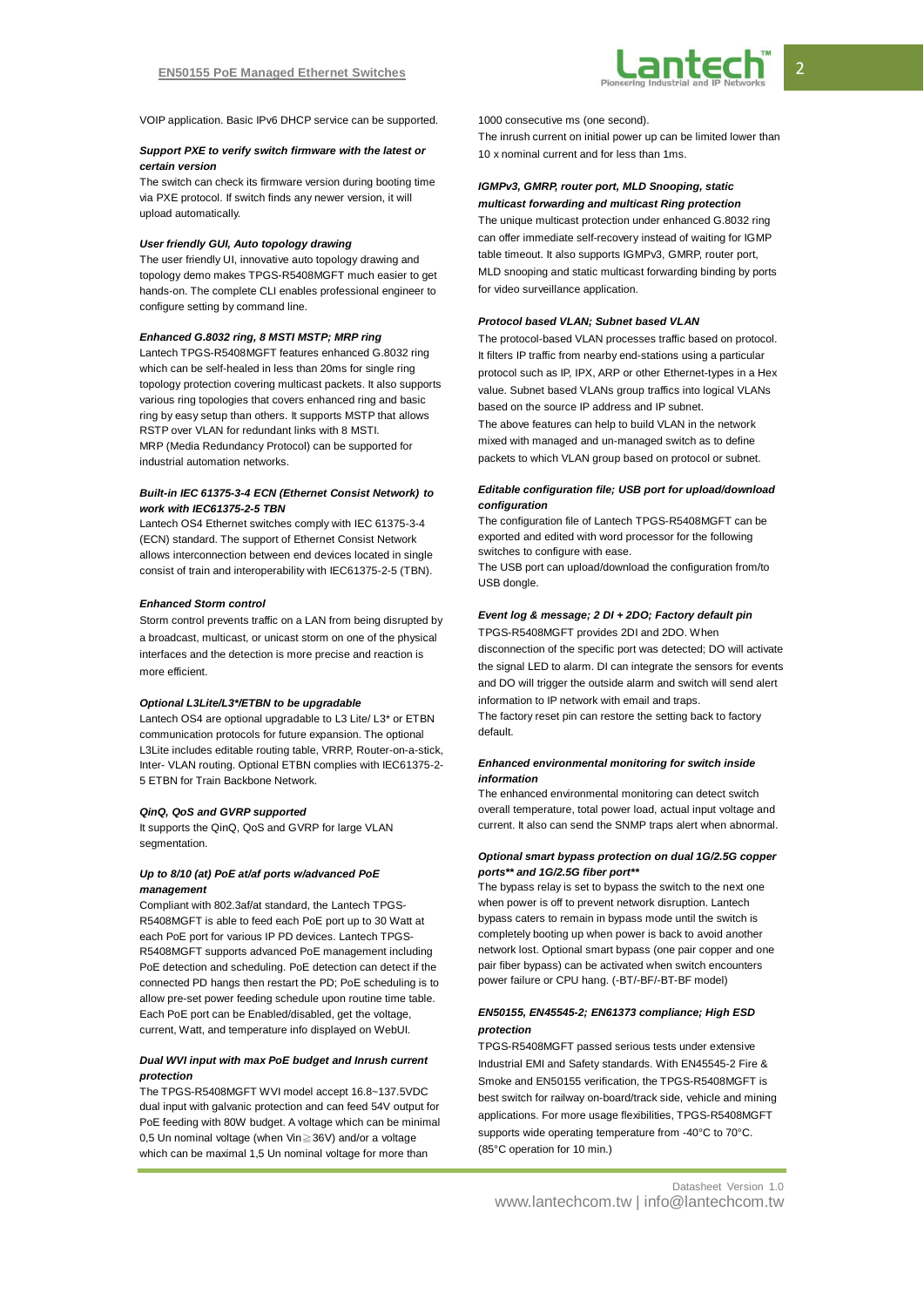

VOIP application. Basic IPv6 DHCP service can be supported.

#### *Support PXE to verify switch firmware with the latest or certain version*

The switch can check its firmware version during booting time via PXE protocol. If switch finds any newer version, it will upload automatically.

#### *User friendly GUI, Auto topology drawing*

The user friendly UI, innovative auto topology drawing and topology demo makes TPGS-R5408MGFT much easier to get hands-on. The complete CLI enables professional engineer to configure setting by command line.

#### *Enhanced G.8032 ring, 8 MSTI MSTP; MRP ring*

Lantech TPGS-R5408MGFT features enhanced G.8032 ring which can be self-healed in less than 20ms for single ring topology protection covering multicast packets. It also supports various ring topologies that covers enhanced ring and basic ring by easy setup than others. It supports MSTP that allows RSTP over VLAN for redundant links with 8 MSTI. MRP (Media Redundancy Protocol) can be supported for industrial automation networks.

#### *Built-in IEC 61375-3-4 ECN (Ethernet Consist Network) to work with IEC61375-2-5 TBN*

Lantech OS4 Ethernet switches comply with IEC 61375-3-4 (ECN) standard. The support of Ethernet Consist Network allows interconnection between end devices located in single consist of train and interoperability with IEC61375-2-5 (TBN).

#### *Enhanced Storm control*

Storm control prevents traffic on a LAN from being disrupted by a broadcast, multicast, or unicast storm on one of the physical interfaces and the detection is more precise and reaction is more efficient.

#### *Optional L3Lite/L3\*/ETBN to be upgradable*

Lantech OS4 are optional upgradable to L3 Lite/ L3\* or ETBN communication protocols for future expansion. The optional L3Lite includes editable routing table, VRRP, Router-on-a-stick, Inter- VLAN routing. Optional ETBN complies with IEC61375-2- 5 ETBN for Train Backbone Network.

#### *QinQ, QoS and GVRP supported*

It supports the QinQ, QoS and GVRP for large VLAN segmentation.

#### *Up to 8/10 (at) PoE at/af ports w/advanced PoE management*

Compliant with 802.3af/at standard, the Lantech TPGS-R5408MGFT is able to feed each PoE port up to 30 Watt at each PoE port for various IP PD devices. Lantech TPGS-R5408MGFT supports advanced PoE management including PoE detection and scheduling. PoE detection can detect if the connected PD hangs then restart the PD; PoE scheduling is to allow pre-set power feeding schedule upon routine time table. Each PoE port can be Enabled/disabled, get the voltage, current, Watt, and temperature info displayed on WebUI.

#### *Dual WVI input with max PoE budget and Inrush current protection*

The TPGS-R5408MGFT WVI model accept 16.8~137.5VDC dual input with galvanic protection and can feed 54V output for PoE feeding with 80W budget. A voltage which can be minimal 0,5 Un nominal voltage (when Vin≧36V) and/or a voltage which can be maximal 1,5 Un nominal voltage for more than

#### 1000 consecutive ms (one second).

The inrush current on initial power up can be limited lower than 10 x nominal current and for less than 1ms.

#### *IGMPv3, GMRP, router port, MLD Snooping, static multicast forwarding and multicast Ring protection*

The unique multicast protection under enhanced G.8032 ring can offer immediate self-recovery instead of waiting for IGMP table timeout. It also supports IGMPv3, GMRP, router port, MLD snooping and static multicast forwarding binding by ports for video surveillance application.

#### *Protocol based VLAN; Subnet based VLAN*

The protocol-based VLAN processes traffic based on protocol. It filters IP traffic from nearby end-stations using a particular protocol such as IP, IPX, ARP or other Ethernet-types in a Hex value. Subnet based VLANs group traffics into logical VLANs based on the source IP address and IP subnet.

The above features can help to build VLAN in the network mixed with managed and un-managed switch as to define packets to which VLAN group based on protocol or subnet.

#### *Editable configuration file; USB port for upload/download configuration*

The configuration file of Lantech TPGS-R5408MGFT can be exported and edited with word processor for the following switches to configure with ease.

The USB port can upload/download the configuration from/to USB dongle.

#### *Event log & message; 2 DI + 2DO; Factory default pin*

TPGS-R5408MGFT provides 2DI and 2DO. When disconnection of the specific port was detected; DO will activate the signal LED to alarm. DI can integrate the sensors for events and DO will trigger the outside alarm and switch will send alert information to IP network with email and traps.

The factory reset pin can restore the setting back to factory default.

#### *Enhanced environmental monitoring for switch inside information*

The enhanced environmental monitoring can detect switch overall temperature, total power load, actual input voltage and current. It also can send the SNMP traps alert when abnormal.

#### *Optional smart bypass protection on dual 1G/2.5G copper ports\*\* and 1G/2.5G fiber port\*\**

The bypass relay is set to bypass the switch to the next one when power is off to prevent network disruption. Lantech bypass caters to remain in bypass mode until the switch is completely booting up when power is back to avoid another network lost. Optional smart bypass (one pair copper and one pair fiber bypass) can be activated when switch encounters power failure or CPU hang. (-BT/-BF/-BT-BF model)

#### *EN50155, EN45545-2; EN61373 compliance; High ESD protection*

TPGS-R5408MGFT passed serious tests under extensive Industrial EMI and Safety standards. With EN45545-2 Fire & Smoke and EN50155 verification, the TPGS-R5408MGFT is best switch for railway on-board/track side, vehicle and mining applications. For more usage flexibilities, TPGS-R5408MGFT supports wide operating temperature from -40°C to 70°C. (85°C operation for 10 min.)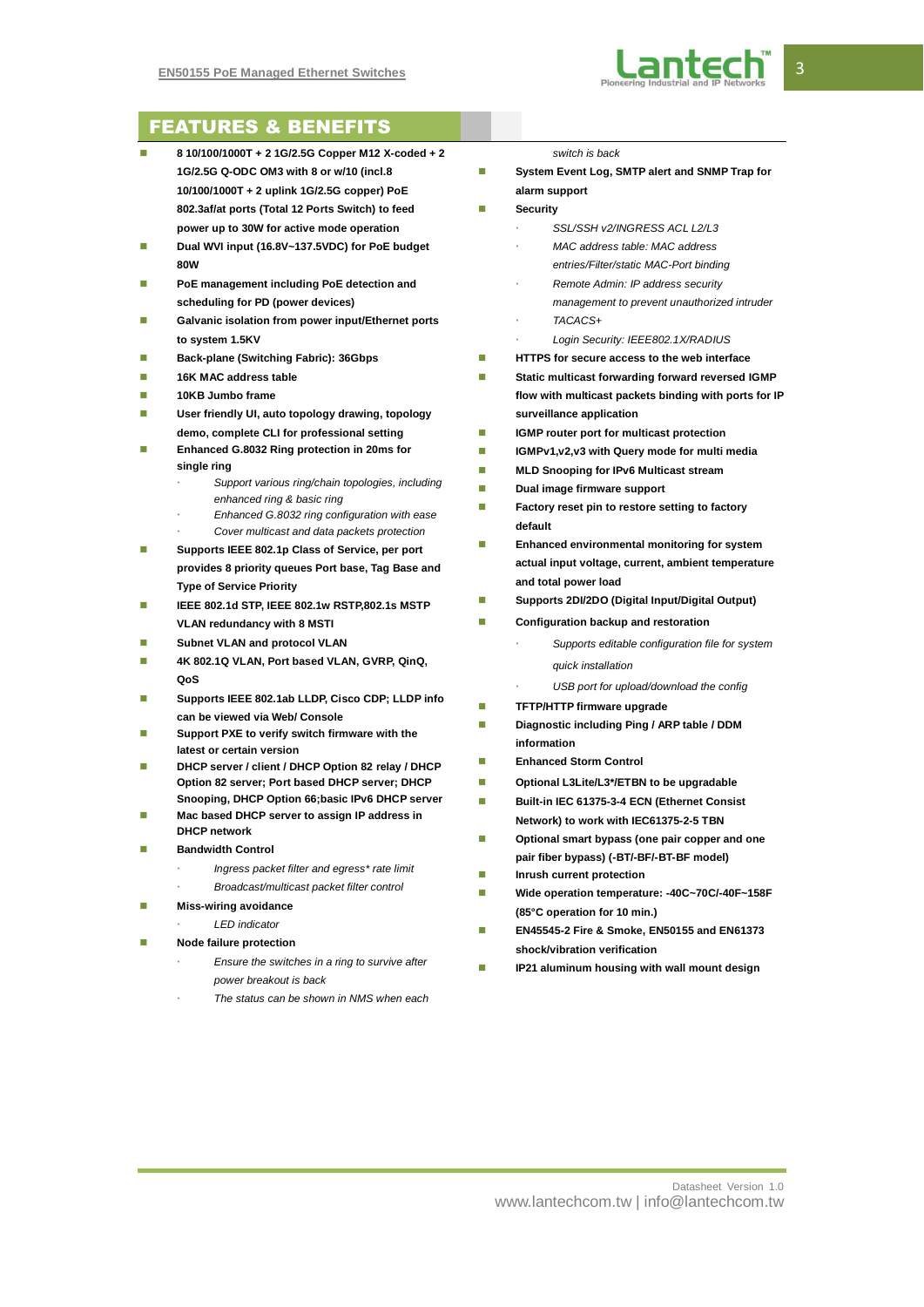

# FEATURES & BENEFITS

- **8 10/100/1000T + 2 1G/2.5G Copper M12 X-coded + 2 1G/2.5G Q-ODC OM3 with 8 or w/10 (incl.8 10/100/1000T + 2 uplink 1G/2.5G copper) PoE 802.3af/at ports (Total 12 Ports Switch) to feed power up to 30W for active mode operation**
- **Dual WVI input (16.8V~137.5VDC) for PoE budget 80W**
- **PoE management including PoE detection and scheduling for PD (power devices)**
- **Galvanic isolation from power input/Ethernet ports to system 1.5KV**
- **Back-plane (Switching Fabric): 36Gbps**
- **16K MAC address table**
- **10KB Jumbo frame**
- **User friendly UI, auto topology drawing, topology demo, complete CLI for professional setting**
- **Enhanced G.8032 Ring protection in 20ms for single ring**
	- *Support various ring/chain topologies, including enhanced ring & basic ring*
	- *Enhanced G.8032 ring configuration with ease*
	- *Cover multicast and data packets protection*
- **Supports IEEE 802.1p Class of Service, per port provides 8 priority queues Port base, Tag Base and Type of Service Priority**
- **IEEE 802.1d STP, IEEE 802.1w RSTP,802.1s MSTP VLAN redundancy with 8 MSTI**
- **Subnet VLAN and protocol VLAN**
- **4K 802.1Q VLAN, Port based VLAN, GVRP, QinQ, QoS**
- **Supports IEEE 802.1ab LLDP, Cisco CDP; LLDP info can be viewed via Web/ Console**
- Support PXE to verify switch firmware with the **latest or certain version**
- **DHCP server / client / DHCP Option 82 relay / DHCP Option 82 server; Port based DHCP server; DHCP Snooping, DHCP Option 66;basic IPv6 DHCP server**
- **Mac based DHCP server to assign IP address in DHCP network**
- **Bandwidth Control**
	- *Ingress packet filter and egress\* rate limit*
	- *Broadcast/multicast packet filter control*
- **Miss-wiring avoidance** 
	- *LED indicator*
	- **Node failure protection**
	- *Ensure the switches in a ring to survive after power breakout is back*
	- *The status can be shown in NMS when each*

#### *switch is back*

- System Event Log, SMTP alert and SNMP Trap for **alarm support**
- **Security** 
	- *SSL/SSH v2/INGRESS ACL L2/L3*
	- *MAC address table: MAC address*
	- *entries/Filter/static MAC-Port binding*
	- *Remote Admin: IP address security*
	- *management to prevent unauthorized intruder TACACS+*
	- *Login Security: IEEE802.1X/RADIUS*
- **HTTPS for secure access to the web interface**
- **Static multicast forwarding forward reversed IGMP flow with multicast packets binding with ports for IP surveillance application**
- **IGMP router port for multicast protection**
- **IGMPv1,v2,v3 with Query mode for multi media**
- **MLD Snooping for IPv6 Multicast stream**
- **Dual image firmware support**
- **Factory reset pin to restore setting to factory default**
- **Enhanced environmental monitoring for system actual input voltage, current, ambient temperature and total power load**
- Supports 2DI/2DO (Digital Input/Digital Output)
- **Configuration backup and restoration** 
	- *Supports editable configuration file for system quick installation*
	- *USB port for upload/download the config*
- **TFTP/HTTP firmware upgrade**
- **Diagnostic including Ping / ARP table / DDM information**
- **Enhanced Storm Control**
- Optional L3Lite/L3\*/ETBN to be upgradable
- **Built-in IEC 61375-3-4 ECN (Ethernet Consist Network) to work with IEC61375-2-5 TBN**
- **Optional smart bypass (one pair copper and one pair fiber bypass) (-BT/-BF/-BT-BF model)**
- **Inrush current protection**
- **Wide operation temperature: -40C~70C/-40F~158F (85°C operation for 10 min.)**
- **EN45545-2 Fire & Smoke, EN50155 and EN61373 shock/vibration verification**
- **IP21 aluminum housing with wall mount design**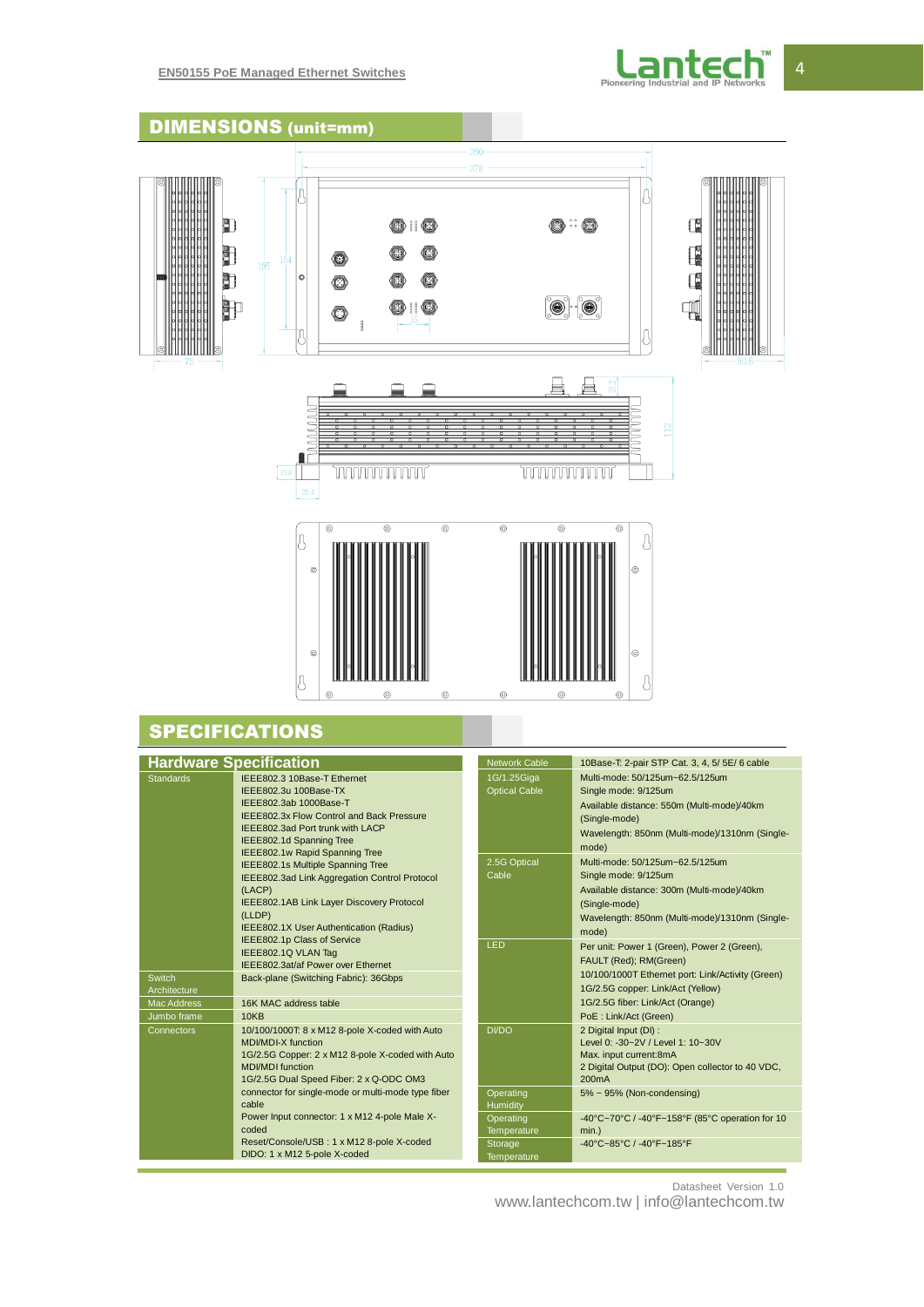# Pioneering Industrial and IP Networks



# **SPECIFICATIONS**

| <b>Hardware Specification</b>                                                                                                                                                                                                                                      | <b>Network Cable</b>                                                                | 10Base-T: 2-pair STP Cat. 3, 4, 5/ 5E/ 6 cable                                                                                                                                                                                |
|--------------------------------------------------------------------------------------------------------------------------------------------------------------------------------------------------------------------------------------------------------------------|-------------------------------------------------------------------------------------|-------------------------------------------------------------------------------------------------------------------------------------------------------------------------------------------------------------------------------|
| IEEE802.3 10Base-T Ethernet<br><b>Standards</b><br>IEEE802.3u 100Base-TX<br>IEEE802.3ab 1000Base-T<br><b>IEEE802.3x Flow Control and Back Pressure</b><br>IEEE802.3ad Port trunk with LACP<br>IEEE802.1d Spanning Tree<br>IEEE802.1w Rapid Spanning Tree           | 1G/1.25Giga<br><b>Optical Cable</b>                                                 | Multi-mode: 50/125um~62.5/125um<br>Single mode: 9/125um<br>Available distance: 550m (Multi-mode)/40km<br>(Single-mode)<br>Wavelength: 850nm (Multi-mode)/1310nm (Single-<br>mode)                                             |
| <b>IEEE802.1s Multiple Spanning Tree</b><br>IEEE802.3ad Link Aggregation Control Protocol<br>(LACP)<br>IEEE802.1AB Link Layer Discovery Protocol<br>(LLDP)<br>IEEE802.1X User Authentication (Radius)                                                              | 2.5G Optical<br>Cable                                                               | Multi-mode: 50/125um~62.5/125um<br>Single mode: 9/125um<br>Available distance: 300m (Multi-mode)/40km<br>(Single-mode)<br>Wavelength: 850nm (Multi-mode)/1310nm (Single-<br>mode)                                             |
| IEEE802.1p Class of Service<br>IEEE802.1Q VLAN Tag<br>IEEE802.3at/af Power over Ethernet<br>Switch<br>Back-plane (Switching Fabric): 36Gbps<br>Architecture<br>16K MAC address table<br><b>Mac Address</b><br>Jumbo frame<br>10KB                                  | LED                                                                                 | Per unit: Power 1 (Green), Power 2 (Green),<br>FAULT (Red); RM(Green)<br>10/100/1000T Ethernet port: Link/Activity (Green)<br>1G/2.5G copper: Link/Act (Yellow)<br>1G/2.5G fiber: Link/Act (Orange)<br>PoE : Link/Act (Green) |
| 10/100/1000T: 8 x M12 8-pole X-coded with Auto<br>Connectors<br>MDI/MDI-X function<br>1G/2.5G Copper: 2 x M12 8-pole X-coded with Auto<br><b>MDI/MDI</b> function<br>1G/2.5G Dual Speed Fiber: 2 x Q-ODC OM3<br>connector for single-mode or multi-mode type fiber | <b>DI/DO</b><br>Operating                                                           | 2 Digital Input (DI) :<br>Level 0: -30~2V / Level 1: 10~30V<br>Max. input current:8mA<br>2 Digital Output (DO): Open collector to 40 VDC,<br>200 <sub>m</sub> A<br>5% ~ 95% (Non-condensing)                                  |
| cable<br>Power Input connector: 1 x M12 4-pole Male X-<br>coded<br>Reset/Console/USB: 1 x M12 8-pole X-coded<br>DIDO: 1 x M12 5-pole X-coded                                                                                                                       | Humidity<br>Operating<br><b>Temperature</b><br><b>Storage</b><br><b>Temperature</b> | -40°C~70°C / -40°F~158°F (85°C operation for 10<br>$min.$ )<br>-40°C~85°C / -40°F~185°F                                                                                                                                       |

Datasheet Version 1.0

www.lantechcom.tw | info@lantechcom.tw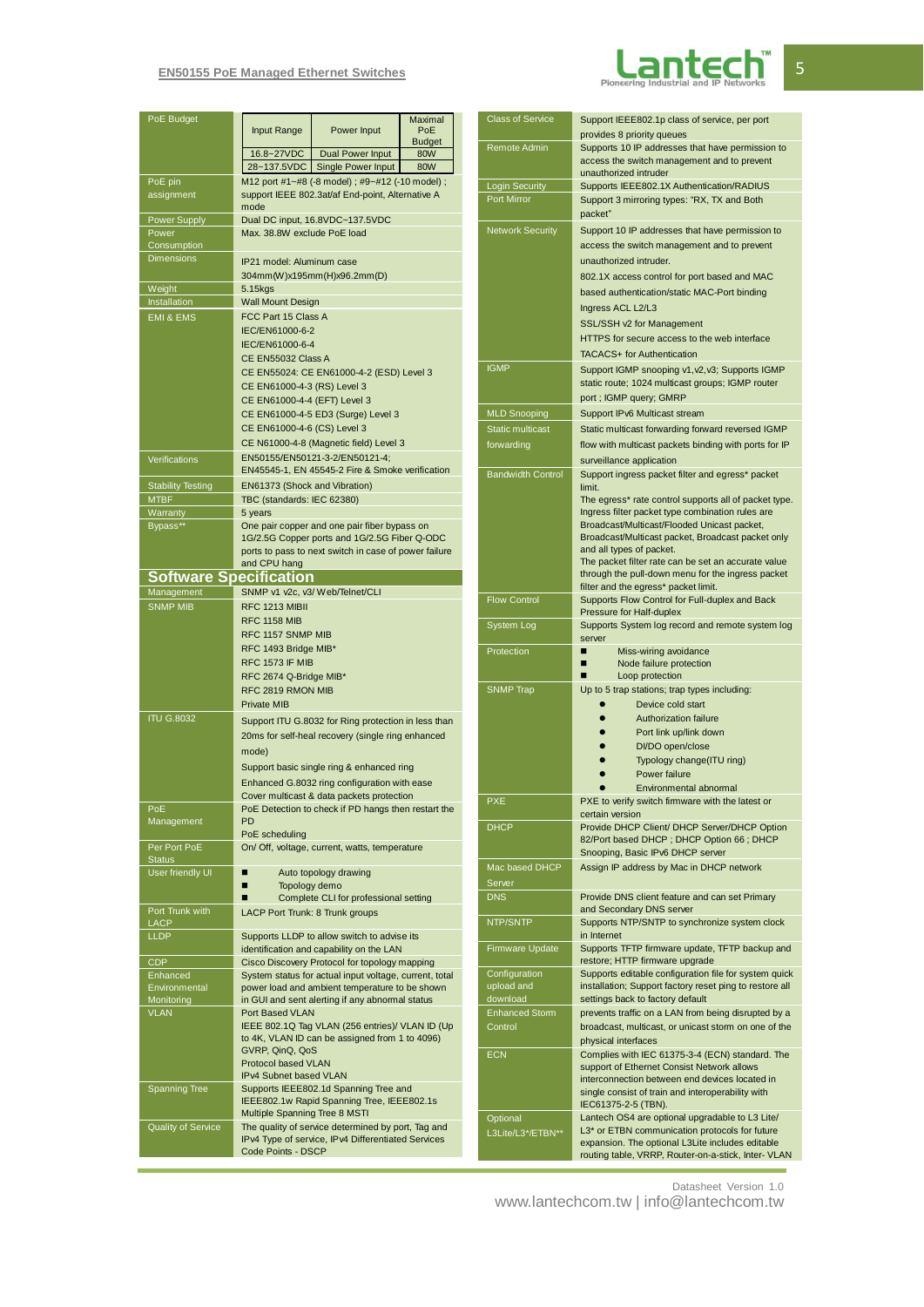#### **EN50155 PoE Managed Ethernet Switches**



| PoE Budget                              | Input Range                                                 | Power Input                                                                               | Maximal<br>PoE | Clas:                      |
|-----------------------------------------|-------------------------------------------------------------|-------------------------------------------------------------------------------------------|----------------|----------------------------|
|                                         |                                                             |                                                                                           | <b>Budget</b>  | Rem                        |
|                                         | 16.8~27VDC                                                  | Dual Power Input<br>28~137.5VDC Single Power Input                                        | 80W<br>80W     |                            |
| PoE pin                                 |                                                             | M12 port #1~#8 (-8 model); #9~#12 (-10 model);                                            |                |                            |
| assignment                              |                                                             | support IEEE 802.3at/af End-point, Alternative A                                          |                | Logir<br>Port              |
|                                         | mode                                                        |                                                                                           |                |                            |
| Power Supply                            |                                                             | Dual DC input, 16.8VDC~137.5VDC                                                           |                | <b>Netw</b>                |
| Power<br>Consumption                    | Max. 38.8W exclude PoE load                                 |                                                                                           |                |                            |
| <b>Dimensions</b>                       | IP21 model: Aluminum case                                   |                                                                                           |                |                            |
|                                         |                                                             | 304mm(W)x195mm(H)x96.2mm(D)                                                               |                |                            |
| Weight                                  | 5.15kgs                                                     |                                                                                           |                |                            |
| Installation                            | <b>Wall Mount Design</b>                                    |                                                                                           |                |                            |
| <b>EMI &amp; EMS</b>                    | FCC Part 15 Class A                                         |                                                                                           |                |                            |
|                                         | IEC/EN61000-6-2                                             |                                                                                           |                |                            |
|                                         | IEC/EN61000-6-4                                             |                                                                                           |                |                            |
|                                         | CE EN55032 Class A                                          | CE EN55024: CE EN61000-4-2 (ESD) Level 3                                                  |                | <b>IGMF</b>                |
|                                         | CE EN61000-4-3 (RS) Level 3                                 |                                                                                           |                |                            |
|                                         | CE EN61000-4-4 (EFT) Level 3                                |                                                                                           |                |                            |
|                                         |                                                             | CE EN61000-4-5 ED3 (Surge) Level 3                                                        |                | <b>MLD</b>                 |
|                                         | CE EN61000-4-6 (CS) Level 3                                 |                                                                                           |                | <b>Station</b>             |
|                                         |                                                             | CE N61000-4-8 (Magnetic field) Level 3                                                    |                | forwa                      |
| <b>Verifications</b>                    |                                                             | EN50155/EN50121-3-2/EN50121-4;                                                            |                |                            |
|                                         |                                                             | EN45545-1, EN 45545-2 Fire & Smoke verification                                           |                | <b>Banc</b>                |
| <b>Stability Testing</b><br><b>MTBF</b> | EN61373 (Shock and Vibration)<br>TBC (standards: IEC 62380) |                                                                                           |                |                            |
| Warranty                                | 5 years                                                     |                                                                                           |                |                            |
| Bypass**                                |                                                             | One pair copper and one pair fiber bypass on                                              |                |                            |
|                                         |                                                             | 1G/2.5G Copper ports and 1G/2.5G Fiber Q-ODC                                              |                |                            |
|                                         | and CPU hang                                                | ports to pass to next switch in case of power failure                                     |                |                            |
| <b>Software Specification</b>           |                                                             |                                                                                           |                |                            |
| Management                              |                                                             | SNMP v1 v2c, v3/ Web/Telnet/CLI                                                           |                |                            |
| <b>SNMP MIB</b>                         | RFC 1213 MIBII                                              |                                                                                           |                | Flow                       |
|                                         | <b>RFC 1158 MIB</b>                                         |                                                                                           |                | Syste                      |
|                                         | RFC 1157 SNMP MIB                                           |                                                                                           |                |                            |
|                                         | RFC 1493 Bridge MIB*                                        |                                                                                           |                | Prote                      |
|                                         | <b>RFC 1573 IF MIB</b>                                      |                                                                                           |                |                            |
|                                         | RFC 2674 Q-Bridge MIB*                                      |                                                                                           |                |                            |
|                                         | RFC 2819 RMON MIB<br><b>Private MIB</b>                     |                                                                                           |                | <b>SNM</b>                 |
| <b>ITU G.8032</b>                       |                                                             | Support ITU G.8032 for Ring protection in less than                                       |                |                            |
|                                         |                                                             | 20ms for self-heal recovery (single ring enhanced                                         |                |                            |
|                                         | mode)                                                       |                                                                                           |                |                            |
|                                         |                                                             | Support basic single ring & enhanced ring                                                 |                |                            |
|                                         |                                                             | Enhanced G.8032 ring configuration with ease                                              |                |                            |
|                                         |                                                             | Cover multicast & data packets protection                                                 |                |                            |
| PoE                                     |                                                             | PoE Detection to check if PD hangs then restart the                                       |                | PXE                        |
| Management                              | <b>PD</b>                                                   |                                                                                           |                | <b>DHC</b>                 |
| Per Port PoE                            | PoE scheduling                                              | On/ Off, voltage, current, watts, temperature                                             |                |                            |
| <b>Status</b>                           |                                                             |                                                                                           |                |                            |
| User friendly UI                        |                                                             | Auto topology drawing                                                                     |                | Mac                        |
|                                         | Topology demo<br>п<br>▬                                     | Complete CLI for professional setting                                                     |                | <b>Serve</b><br><b>DNS</b> |
| Port Trunk with                         | LACP Port Trunk: 8 Trunk groups                             |                                                                                           |                |                            |
| LACP                                    |                                                             |                                                                                           |                | NTP/                       |
| <b>LLDP</b>                             |                                                             | Supports LLDP to allow switch to advise its                                               |                |                            |
| <b>CDP</b>                              |                                                             | identification and capability on the LAN<br>Cisco Discovery Protocol for topology mapping |                | Firmy                      |
| Enhanced                                |                                                             | System status for actual input voltage, current, total                                    |                | Conf                       |
| Environmental                           |                                                             | power load and ambient temperature to be shown                                            |                | <u>uploa</u>               |
| Monitoring                              |                                                             | in GUI and sent alerting if any abnormal status                                           |                | dowr                       |
| VLAN                                    | Port Based VLAN                                             | IEEE 802.1Q Tag VLAN (256 entries)/ VLAN ID (Up                                           |                | Enha                       |
|                                         |                                                             | to 4K, VLAN ID can be assigned from 1 to 4096)                                            |                | Cont                       |
|                                         | GVRP, QinQ, QoS                                             |                                                                                           |                | <b>ECN</b>                 |
|                                         | Protocol based VLAN                                         |                                                                                           |                |                            |
|                                         | IPv4 Subnet based VLAN                                      | Supports IEEE802.1d Spanning Tree and                                                     |                |                            |
| <b>Spanning Tree</b>                    |                                                             | IEEE802.1w Rapid Spanning Tree, IEEE802.1s                                                |                |                            |
|                                         | Multiple Spanning Tree 8 MSTI                               |                                                                                           |                | Optic                      |
| <b>Quality of Service</b>               |                                                             | The quality of service determined by port, Tag and                                        |                | L3Lit                      |
|                                         | Code Points - DSCP                                          | IPv4 Type of service, IPv4 Differentiated Services                                        |                |                            |
|                                         |                                                             |                                                                                           |                |                            |

| <b>Class of Service</b>       |                                                                                                          |  |  |
|-------------------------------|----------------------------------------------------------------------------------------------------------|--|--|
|                               | Support IEEE802.1p class of service, per port<br>provides 8 priority queues                              |  |  |
| Remote Admin                  | Supports 10 IP addresses that have permission to                                                         |  |  |
|                               | access the switch management and to prevent<br>unauthorized intruder                                     |  |  |
| <b>Login Security</b>         | Supports IEEE802.1X Authentication/RADIUS                                                                |  |  |
| <b>Port Mirror</b>            | Support 3 mirroring types: "RX, TX and Both<br>packet"                                                   |  |  |
| Network Security              | Support 10 IP addresses that have permission to                                                          |  |  |
|                               | access the switch management and to prevent                                                              |  |  |
|                               | unauthorized intruder.                                                                                   |  |  |
|                               | 802.1X access control for port based and MAC                                                             |  |  |
|                               | based authentication/static MAC-Port binding                                                             |  |  |
|                               | Ingress ACL L2/L3                                                                                        |  |  |
|                               | SSL/SSH v2 for Management                                                                                |  |  |
|                               | HTTPS for secure access to the web interface<br><b>TACACS+ for Authentication</b>                        |  |  |
| <b>IGMP</b>                   | Support IGMP snooping v1, v2, v3; Supports IGMP                                                          |  |  |
|                               | static route; 1024 multicast groups; IGMP router                                                         |  |  |
|                               | port; IGMP query; GMRP                                                                                   |  |  |
| <b>MLD Snooping</b>           | Support IPv6 Multicast stream                                                                            |  |  |
| <b>Static multicast</b>       | Static multicast forwarding forward reversed IGMP                                                        |  |  |
| forwarding                    | flow with multicast packets binding with ports for IP                                                    |  |  |
| <b>Bandwidth Control</b>      | surveillance application<br>Support ingress packet filter and egress* packet                             |  |  |
|                               | limit.                                                                                                   |  |  |
|                               | The egress* rate control supports all of packet type.                                                    |  |  |
|                               | Ingress filter packet type combination rules are<br>Broadcast/Multicast/Flooded Unicast packet,          |  |  |
|                               | Broadcast/Multicast packet, Broadcast packet only                                                        |  |  |
|                               | and all types of packet.                                                                                 |  |  |
|                               | The packet filter rate can be set an accurate value<br>through the pull-down menu for the ingress packet |  |  |
|                               | filter and the egress* packet limit.                                                                     |  |  |
| <b>Flow Control</b>           | Supports Flow Control for Full-duplex and Back<br>Pressure for Half-duplex                               |  |  |
| System Log                    | Supports System log record and remote system log                                                         |  |  |
| Protection                    | server                                                                                                   |  |  |
|                               | Miss-wiring avoidance<br>Node failure protection<br>п                                                    |  |  |
|                               | Loop protection                                                                                          |  |  |
| <b>SNMP Trap</b>              | Up to 5 trap stations; trap types including:                                                             |  |  |
|                               | Device cold start<br>Authorization failure                                                               |  |  |
|                               | Port link up/link down                                                                                   |  |  |
|                               | DI/DO open/close                                                                                         |  |  |
|                               |                                                                                                          |  |  |
|                               | Typology change(ITU ring)                                                                                |  |  |
|                               | Power failure                                                                                            |  |  |
| <b>PXE</b>                    | Environmental abnomal                                                                                    |  |  |
|                               | PXE to verify switch firmware with the latest or<br>certain version                                      |  |  |
| <b>DHCP</b>                   | Provide DHCP Client/ DHCP Server/DHCP Option                                                             |  |  |
|                               | 82/Port based DHCP; DHCP Option 66; DHCP<br>Snooping, Basic IPv6 DHCP server                             |  |  |
| Mac based DHCP                | Assign IP address by Mac in DHCP network                                                                 |  |  |
| Server                        |                                                                                                          |  |  |
| <b>DNS</b>                    | Provide DNS client feature and can set Primary                                                           |  |  |
| NTP/SNTP                      | and Secondary DNS server<br>Supports NTP/SNTP to synchronize system clock                                |  |  |
|                               | in Internet                                                                                              |  |  |
| <b>Firmware Update</b>        | Supports TFTP firmware update, TFTP backup and<br>restore; HTTP firmware upgrade                         |  |  |
| Configuration                 | Supports editable configuration file for system quick                                                    |  |  |
| upload and<br>download        | installation; Support factory reset ping to restore all<br>settings back to factory default              |  |  |
| <b>Enhanced Storm</b>         | prevents traffic on a LAN from being disrupted by a                                                      |  |  |
| Control                       | broadcast, multicast, or unicast storm on one of the                                                     |  |  |
|                               | physical interfaces                                                                                      |  |  |
| <b>ECN</b>                    | Complies with IEC 61375-3-4 (ECN) standard. The                                                          |  |  |
|                               | support of Ethernet Consist Network allows<br>interconnection between end devices located in             |  |  |
|                               | single consist of train and interoperability with                                                        |  |  |
|                               | IEC61375-2-5 (TBN).<br>Lantech OS4 are optional upgradable to L3 Lite/                                   |  |  |
| Optional<br>L3Lite/L3*/ETBN** | L3* or ETBN communication protocols for future<br>expansion. The optional L3Lite includes editable       |  |  |

Datasheet Version 1.0

www.lantechcom.tw | info@lantechcom.tw